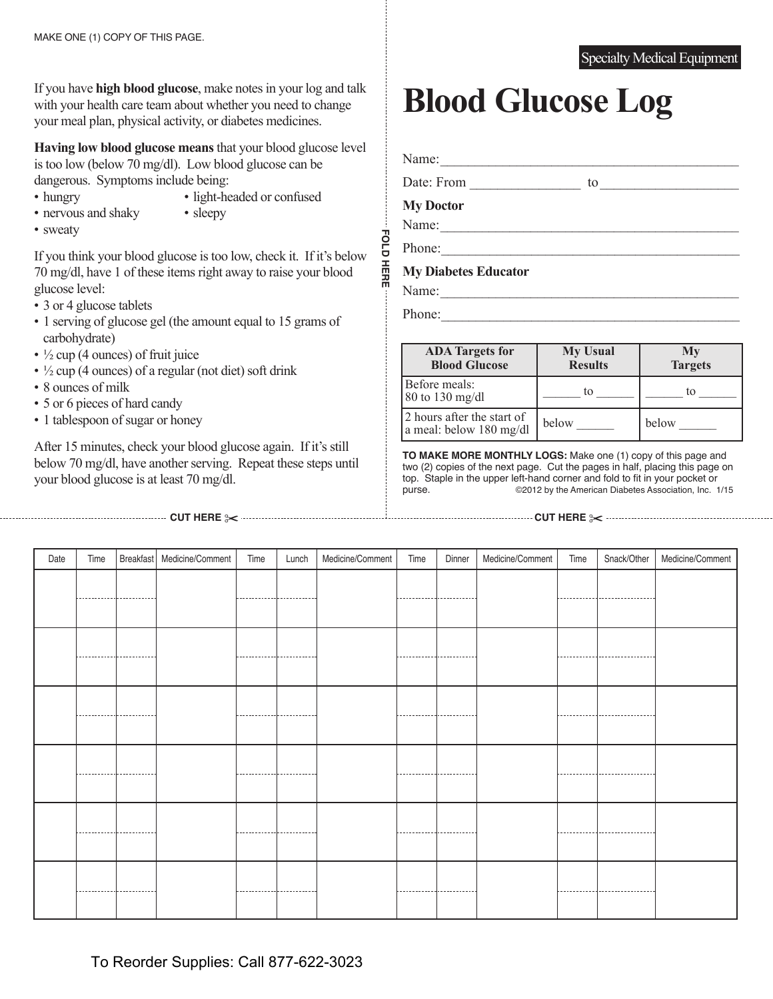If you have **high blood glucose**, make notes in your log and talk with your health care team about whether you need to change your meal plan, physical activity, or diabetes medicines.

**Having low blood glucose means** that your blood glucose level is too low (below 70 mg/dl). Low blood glucose can be dangerous. Symptoms include being:

- 
- hungry light-headed or confused • nervous and shaky • sleepy
- sweaty

If you think your blood glucose is too low, check it. If it's below 70 mg/dl, have 1 of these items right away to raise your blood glucose level:

- 3 or 4 glucose tablets
- 1 serving of glucose gel (the amount equal to 15 grams of carbohydrate)
- $\frac{1}{2}$  cup (4 ounces) of fruit juice
- $\cdot$   $\frac{1}{2}$  cup (4 ounces) of a regular (not diet) soft drink
- 8 ounces of milk
- 5 or 6 pieces of hard candy
- 1 tablespoon of sugar or honey

After 15 minutes, check your blood glucose again. If it's still below 70 mg/dl, have another serving. Repeat these steps until your blood glucose is at least 70 mg/dl.

# **Blood Glucose Log**

Name:  $\qquad \qquad \qquad$ Date: From to to  $\frac{1}{2}$ 

**My Doctor**

Name:

Phone:

**FOLD hErE**

HERE

**FOLD** 

## **My Diabetes Educator**

Name:

Phone:

| <b>ADA</b> Targets for<br><b>Blood Glucose</b>        | <b>My Usual</b><br><b>Results</b> | My<br><b>Targets</b> |
|-------------------------------------------------------|-----------------------------------|----------------------|
| Before meals:<br>$80$ to 130 mg/dl                    | to                                | tΩ                   |
| 2 hours after the start of<br>a meal: below 180 mg/dl | below                             | below                |

**TO MAKE MOrE MONThLY LOGS:** Make one (1) copy of this page and two (2) copies of the next page. Cut the pages in half, placing this page on top. Staple in the upper left-hand corner and fold to fit in your pocket or purse. ©2012 by the American Diabetes Association, Inc. 1/15

#### **cuT hErE** ✂ **cuT hErE** ✂

Date Time Breakfast Medicine/Comment Time Lunch Medicine/Comment Time Dinner Medicine/Comment Time Snack/Other Medicine/Comment

## Specialty Medical Equipment